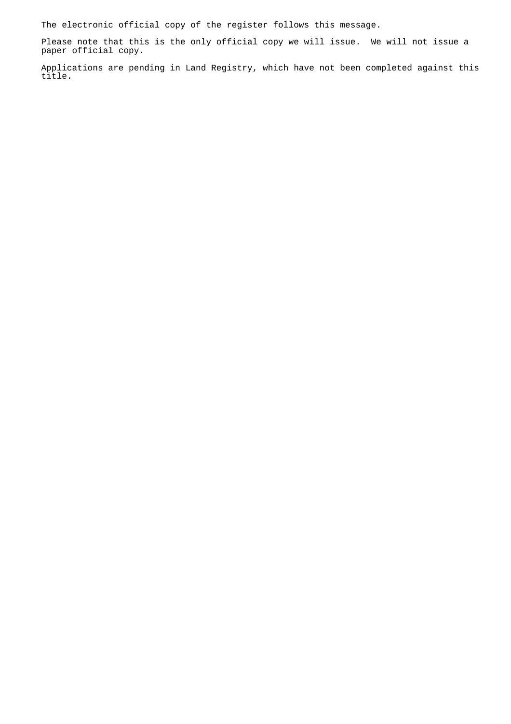The electronic official copy of the register follows this message.

Please note that this is the only official copy we will issue. We will not issue a paper official copy.

Applications are pending in Land Registry, which have not been completed against this title.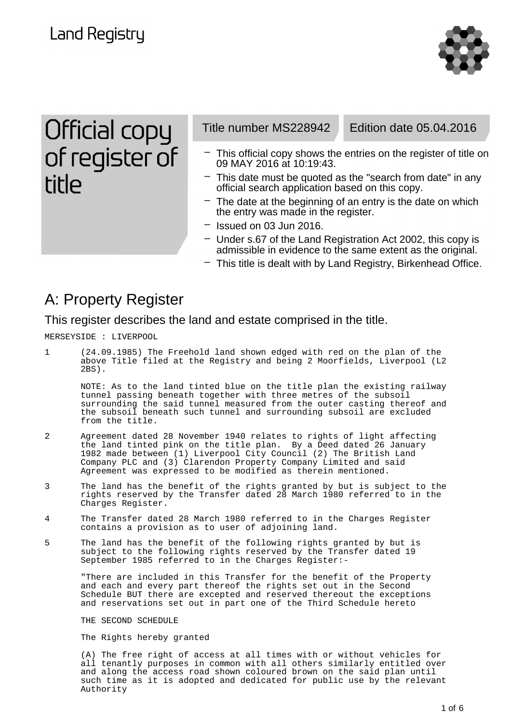**Land Registry** 



Official copy of register of **title** 

Title number MS228942 Edition date 05.04.2016

- This official copy shows the entries on the register of title on 09 MAY 2016 at 10:19:43.
- $-$  This date must be quoted as the "search from date" in any official search application based on this copy.
- $-$  The date at the beginning of an entry is the date on which the entry was made in the register.
- Issued on 03 Jun 2016.
- Under s.67 of the Land Registration Act 2002, this copy is admissible in evidence to the same extent as the original.
- This title is dealt with by Land Registry, Birkenhead Office.

### A: Property Register

This register describes the land and estate comprised in the title.

MERSEYSIDE : LIVERPOOL

1 (24.09.1985) The Freehold land shown edged with red on the plan of the above Title filed at the Registry and being 2 Moorfields, Liverpool (L2 2BS).

NOTE: As to the land tinted blue on the title plan the existing railway tunnel passing beneath together with three metres of the subsoil surrounding the said tunnel measured from the outer casting thereof and the subsoil beneath such tunnel and surrounding subsoil are excluded from the title.

- 2 Agreement dated 28 November 1940 relates to rights of light affecting the land tinted pink on the title plan. By a Deed dated 26 January 1982 made between (1) Liverpool City Council (2) The British Land Company PLC and (3) Clarendon Property Company Limited and said Agreement was expressed to be modified as therein mentioned.
- 3 The land has the benefit of the rights granted by but is subject to the rights reserved by the Transfer dated 28 March 1980 referred to in the Charges Register.
- 4 The Transfer dated 28 March 1980 referred to in the Charges Register contains a provision as to user of adjoining land.
- 5 The land has the benefit of the following rights granted by but is subject to the following rights reserved by the Transfer dated 19 September 1985 referred to in the Charges Register:-

"There are included in this Transfer for the benefit of the Property and each and every part thereof the rights set out in the Second Schedule BUT there are excepted and reserved thereout the exceptions and reservations set out in part one of the Third Schedule hereto

THE SECOND SCHEDULE

The Rights hereby granted

(A) The free right of access at all times with or without vehicles for all tenantly purposes in common with all others similarly entitled over and along the access road shown coloured brown on the said plan until such time as it is adopted and dedicated for public use by the relevant Authority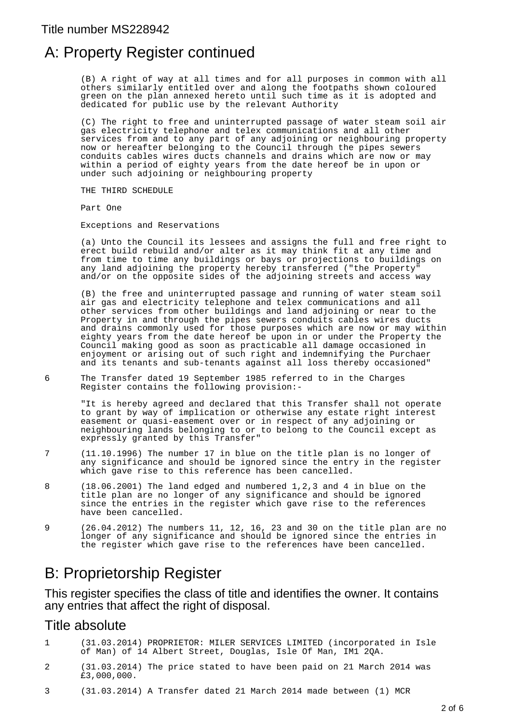## A: Property Register continued

(B) A right of way at all times and for all purposes in common with all others similarly entitled over and along the footpaths shown coloured green on the plan annexed hereto until such time as it is adopted and dedicated for public use by the relevant Authority

(C) The right to free and uninterrupted passage of water steam soil air gas electricity telephone and telex communications and all other services from and to any part of any adjoining or neighbouring property now or hereafter belonging to the Council through the pipes sewers conduits cables wires ducts channels and drains which are now or may within a period of eighty years from the date hereof be in upon or under such adjoining or neighbouring property

THE THIRD SCHEDULE

Part One

Exceptions and Reservations

(a) Unto the Council its lessees and assigns the full and free right to erect build rebuild and/or alter as it may think fit at any time and from time to time any buildings or bays or projections to buildings on any land adjoining the property hereby transferred ("the Property" and/or on the opposite sides of the adjoining streets and access way

(B) the free and uninterrupted passage and running of water steam soil air gas and electricity telephone and telex communications and all other services from other buildings and land adjoining or near to the Property in and through the pipes sewers conduits cables wires ducts and drains commonly used for those purposes which are now or may within eighty years from the date hereof be upon in or under the Property the Council making good as soon as practicable all damage occasioned in enjoyment or arising out of such right and indemnifying the Purchaer and its tenants and sub-tenants against all loss thereby occasioned"

6 The Transfer dated 19 September 1985 referred to in the Charges Register contains the following provision:-

"It is hereby agreed and declared that this Transfer shall not operate to grant by way of implication or otherwise any estate right interest easement or quasi-easement over or in respect of any adjoining or neighbouring lands belonging to or to belong to the Council except as expressly granted by this Transfer"

- 7 (11.10.1996) The number 17 in blue on the title plan is no longer of any significance and should be ignored since the entry in the register which gave rise to this reference has been cancelled.
- 8 (18.06.2001) The land edged and numbered 1,2,3 and 4 in blue on the title plan are no longer of any significance and should be ignored since the entries in the register which gave rise to the references have been cancelled.
- 9 (26.04.2012) The numbers 11, 12, 16, 23 and 30 on the title plan are no longer of any significance and should be ignored since the entries in the register which gave rise to the references have been cancelled.

## B: Proprietorship Register

This register specifies the class of title and identifies the owner. It contains any entries that affect the right of disposal.

### Title absolute

- 1 (31.03.2014) PROPRIETOR: MILER SERVICES LIMITED (incorporated in Isle of Man) of 14 Albert Street, Douglas, Isle Of Man, IM1 2QA.
- 2 (31.03.2014) The price stated to have been paid on 21 March 2014 was £3,000,000.
- 3 (31.03.2014) A Transfer dated 21 March 2014 made between (1) MCR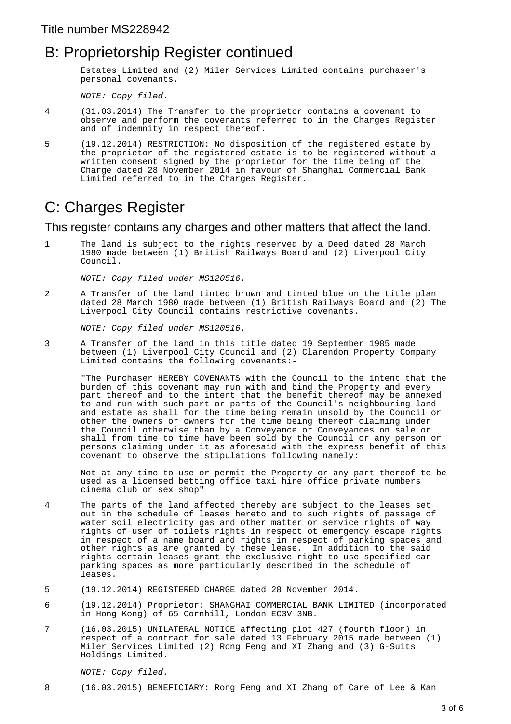### B: Proprietorship Register continued

Estates Limited and (2) Miler Services Limited contains purchaser's personal covenants.

NOTE: Copy filed.

- 4 (31.03.2014) The Transfer to the proprietor contains a covenant to observe and perform the covenants referred to in the Charges Register and of indemnity in respect thereof.
- 5 (19.12.2014) RESTRICTION: No disposition of the registered estate by the proprietor of the registered estate is to be registered without a written consent signed by the proprietor for the time being of the Charge dated 28 November 2014 in favour of Shanghai Commercial Bank Limited referred to in the Charges Register.

# C: Charges Register

This register contains any charges and other matters that affect the land.

1 The land is subject to the rights reserved by a Deed dated 28 March 1980 made between (1) British Railways Board and (2) Liverpool City Council.

NOTE: Copy filed under MS120516.

2 A Transfer of the land tinted brown and tinted blue on the title plan dated 28 March 1980 made between (1) British Railways Board and (2) The Liverpool City Council contains restrictive covenants.

NOTE: Copy filed under MS120516.

3 A Transfer of the land in this title dated 19 September 1985 made between (1) Liverpool City Council and (2) Clarendon Property Company Limited contains the following covenants:-

"The Purchaser HEREBY COVENANTS with the Council to the intent that the burden of this covenant may run with and bind the Property and every part thereof and to the intent that the benefit thereof may be annexed to and run with such part or parts of the Council's neighbouring land and estate as shall for the time being remain unsold by the Council or other the owners or owners for the time being thereof claiming under the Council otherwise than by a Conveyance or Conveyances on sale or shall from time to time have been sold by the Council or any person or persons claiming under it as aforesaid with the express benefit of this covenant to observe the stipulations following namely:

Not at any time to use or permit the Property or any part thereof to be used as a licensed betting office taxi hire office private numbers cinema club or sex shop"

- 4 The parts of the land affected thereby are subject to the leases set out in the schedule of leases hereto and to such rights of passage of water soil electricity gas and other matter or service rights of way rights of user of toilets rights in respect ot emergency escape rights in respect of a name board and rights in respect of parking spaces and other rights as are granted by these lease. In addition to the said rights certain leases grant the exclusive right to use specified car parking spaces as more particularly described in the schedule of leases.
- 5 (19.12.2014) REGISTERED CHARGE dated 28 November 2014.
- 6 (19.12.2014) Proprietor: SHANGHAI COMMERCIAL BANK LIMITED (incorporated in Hong Kong) of 65 Cornhill, London EC3V 3NB.
- 7 (16.03.2015) UNILATERAL NOTICE affecting plot 427 (fourth floor) in respect of a contract for sale dated 13 February 2015 made between (1) Miler Services Limited (2) Rong Feng and XI Zhang and (3) G-Suits Holdings Limited.

#### NOTE: Copy filed.

8 (16.03.2015) BENEFICIARY: Rong Feng and XI Zhang of Care of Lee & Kan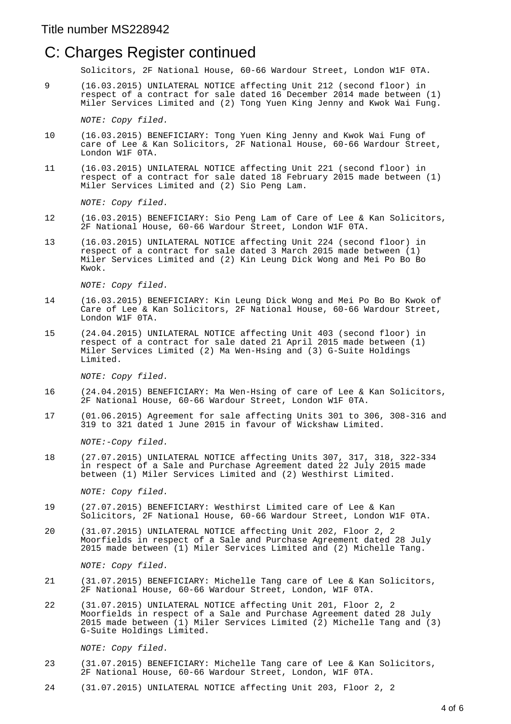### C: Charges Register continued

Solicitors, 2F National House, 60-66 Wardour Street, London W1F 0TA.

9 (16.03.2015) UNILATERAL NOTICE affecting Unit 212 (second floor) in respect of a contract for sale dated 16 December 2014 made between (1) Miler Services Limited and (2) Tong Yuen King Jenny and Kwok Wai Fung.

NOTE: Copy filed.

- 10 (16.03.2015) BENEFICIARY: Tong Yuen King Jenny and Kwok Wai Fung of care of Lee & Kan Solicitors, 2F National House, 60-66 Wardour Street, London W1F 0TA.
- 11 (16.03.2015) UNILATERAL NOTICE affecting Unit 221 (second floor) in respect of a contract for sale dated 18 February 2015 made between (1) Miler Services Limited and (2) Sio Peng Lam.

NOTE: Copy filed.

- 12 (16.03.2015) BENEFICIARY: Sio Peng Lam of Care of Lee & Kan Solicitors, 2F National House, 60-66 Wardour Street, London W1F 0TA.
- 13 (16.03.2015) UNILATERAL NOTICE affecting Unit 224 (second floor) in respect of a contract for sale dated 3 March 2015 made between (1) Miler Services Limited and (2) Kin Leung Dick Wong and Mei Po Bo Bo Kwok.

NOTE: Copy filed.

- 14 (16.03.2015) BENEFICIARY: Kin Leung Dick Wong and Mei Po Bo Bo Kwok of Care of Lee & Kan Solicitors, 2F National House, 60-66 Wardour Street, London W1F 0TA.
- 15 (24.04.2015) UNILATERAL NOTICE affecting Unit 403 (second floor) in respect of a contract for sale dated 21 April 2015 made between (1) Miler Services Limited (2) Ma Wen-Hsing and (3) G-Suite Holdings Limited.

NOTE: Copy filed.

- 16 (24.04.2015) BENEFICIARY: Ma Wen-Hsing of care of Lee & Kan Solicitors, 2F National House, 60-66 Wardour Street, London W1F 0TA.
- 17 (01.06.2015) Agreement for sale affecting Units 301 to 306, 308-316 and 319 to 321 dated 1 June 2015 in favour of Wickshaw Limited.

NOTE:-Copy filed.

18 (27.07.2015) UNILATERAL NOTICE affecting Units 307, 317, 318, 322-334 in respect of a Sale and Purchase Agreement dated 22 July 2015 made between (1) Miler Services Limited and (2) Westhirst Limited.

NOTE: Copy filed.

- 19 (27.07.2015) BENEFICIARY: Westhirst Limited care of Lee & Kan Solicitors, 2F National House, 60-66 Wardour Street, London W1F 0TA.
- 20 (31.07.2015) UNILATERAL NOTICE affecting Unit 202, Floor 2, 2 Moorfields in respect of a Sale and Purchase Agreement dated 28 July 2015 made between (1) Miler Services Limited and (2) Michelle Tang.

NOTE: Copy filed.

- 21 (31.07.2015) BENEFICIARY: Michelle Tang care of Lee & Kan Solicitors, 2F National House, 60-66 Wardour Street, London, W1F 0TA.
- 22 (31.07.2015) UNILATERAL NOTICE affecting Unit 201, Floor 2, 2 Moorfields in respect of a Sale and Purchase Agreement dated 28 July 2015 made between (1) Miler Services Limited (2) Michelle Tang and (3) G-Suite Holdings Limited.

NOTE: Copy filed.

- 23 (31.07.2015) BENEFICIARY: Michelle Tang care of Lee & Kan Solicitors, 2F National House, 60-66 Wardour Street, London, W1F 0TA.
- 24 (31.07.2015) UNILATERAL NOTICE affecting Unit 203, Floor 2, 2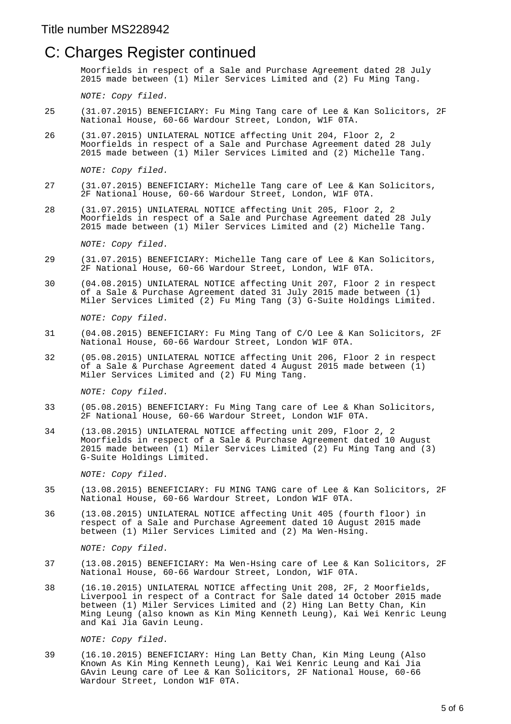### C: Charges Register continued

Moorfields in respect of a Sale and Purchase Agreement dated 28 July 2015 made between (1) Miler Services Limited and (2) Fu Ming Tang.

NOTE: Copy filed.

- 25 (31.07.2015) BENEFICIARY: Fu Ming Tang care of Lee & Kan Solicitors, 2F National House, 60-66 Wardour Street, London, W1F 0TA.
- 26 (31.07.2015) UNILATERAL NOTICE affecting Unit 204, Floor 2, 2 Moorfields in respect of a Sale and Purchase Agreement dated 28 July 2015 made between (1) Miler Services Limited and (2) Michelle Tang.

NOTE: Copy filed.

- 27 (31.07.2015) BENEFICIARY: Michelle Tang care of Lee & Kan Solicitors, 2F National House, 60-66 Wardour Street, London, W1F 0TA.
- 28 (31.07.2015) UNILATERAL NOTICE affecting Unit 205, Floor 2, 2 Moorfields in respect of a Sale and Purchase Agreement dated 28 July 2015 made between (1) Miler Services Limited and (2) Michelle Tang.

NOTE: Copy filed.

- 29 (31.07.2015) BENEFICIARY: Michelle Tang care of Lee & Kan Solicitors, 2F National House, 60-66 Wardour Street, London, W1F 0TA.
- 30 (04.08.2015) UNILATERAL NOTICE affecting Unit 207, Floor 2 in respect of a Sale & Purchase Agreement dated  $31$  July 2015 made between  $(1)$ Miler Services Limited (2) Fu Ming Tang (3) G-Suite Holdings Limited.

NOTE: Copy filed.

- 31 (04.08.2015) BENEFICIARY: Fu Ming Tang of C/O Lee & Kan Solicitors, 2F National House, 60-66 Wardour Street, London W1F 0TA.
- 32 (05.08.2015) UNILATERAL NOTICE affecting Unit 206, Floor 2 in respect of a Sale & Purchase Agreement dated 4 August 2015 made between (1) Miler Services Limited and (2) FU Ming Tang.

NOTE: Copy filed.

- 33 (05.08.2015) BENEFICIARY: Fu Ming Tang care of Lee & Khan Solicitors, 2F National House, 60-66 Wardour Street, London W1F 0TA.
- 34 (13.08.2015) UNILATERAL NOTICE affecting unit 209, Floor 2, 2 Moorfields in respect of a Sale & Purchase Agreement dated 10 August 2015 made between (1) Miler Services Limited (2) Fu Ming Tang and (3) G-Suite Holdings Limited.

NOTE: Copy filed.

- 35 (13.08.2015) BENEFICIARY: FU MING TANG care of Lee & Kan Solicitors, 2F National House, 60-66 Wardour Street, London W1F 0TA.
- 36 (13.08.2015) UNILATERAL NOTICE affecting Unit 405 (fourth floor) in respect of a Sale and Purchase Agreement dated 10 August 2015 made between (1) Miler Services Limited and (2) Ma Wen-Hsing.

NOTE: Copy filed.

- 37 (13.08.2015) BENEFICIARY: Ma Wen-Hsing care of Lee & Kan Solicitors, 2F National House, 60-66 Wardour Street, London, W1F 0TA.
- 38 (16.10.2015) UNILATERAL NOTICE affecting Unit 208, 2F, 2 Moorfields, Liverpool in respect of a Contract for Sale dated 14 October 2015 made between (1) Miler Services Limited and (2) Hing Lan Betty Chan, Kin Ming Leung (also known as Kin Ming Kenneth Leung), Kai Wei Kenric Leung and Kai Jia Gavin Leung.

NOTE: Copy filed.

39 (16.10.2015) BENEFICIARY: Hing Lan Betty Chan, Kin Ming Leung (Also Known As Kin Ming Kenneth Leung), Kai Wei Kenric Leung and Kai Jia GAvin Leung care of Lee & Kan Solicitors, 2F National House, 60-66 Wardour Street, London W1F 0TA.